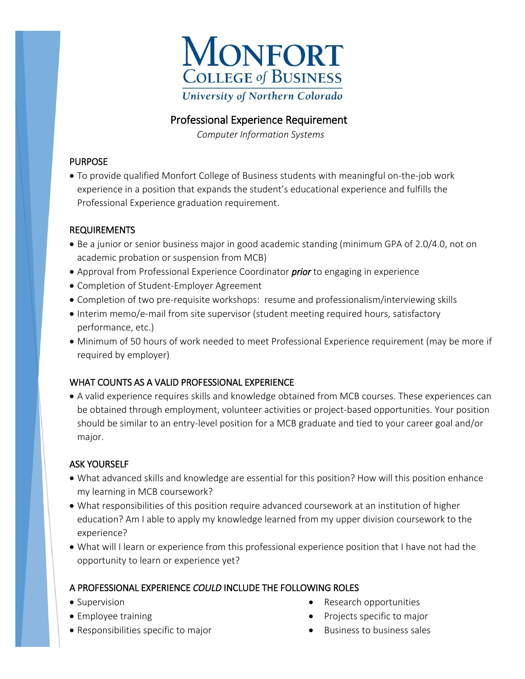

# Professional Experience Requirement

 *Computer Information Systems*

### PURPOSE

 To provide qualified Monfort College of Business students with meaningful on-the-job work experience in a position that expands the student's educational experience and fulfills the Professional Experience graduation requirement.

### REQUIREMENTS

- Be a junior or senior business major in good academic standing (minimum GPA of 2.0/4.0, not on academic probation or suspension from MCB)
- Approval from Professional Experience Coordinator *prior* to engaging in experience
- Completion of Student-Employer Agreement
- Completion of two pre-requisite workshops: resume and professionalism/interviewing skills
- Interim memo/e-mail from site supervisor (student meeting required hours, satisfactory performance, etc.)
- Minimum of 50 hours of work needed to meet Professional Experience requirement (may be more if required by employer)

## WHAT COUNTS AS A VALID PROFESSIONAL EXPERIENCE

 A valid experience requires skills and knowledge obtained from MCB courses. These experiences can be obtained through employment, volunteer activities or project-based opportunities. Your position should be similar to an entry-level position for a MCB graduate and tied to your career goal and/or major.

## ASK YOURSELF

- What advanced skills and knowledge are essential for this position? How will this position enhance my learning in MCB coursework?
- What responsibilities of this position require advanced coursework at an institution of higher education? Am I able to apply my knowledge learned from my upper division coursework to the experience?
- What will I learn or experience from this professional experience position that I have not had the opportunity to learn or experience yet?

## A PROFESSIONAL EXPERIENCE *COULD* INCLUDE THE FOLLOWING ROLES

- Supervision
- Employee training
- Responsibilities specific to major
- Research opportunities
- Projects specific to major
- $\bullet$  Business to business sales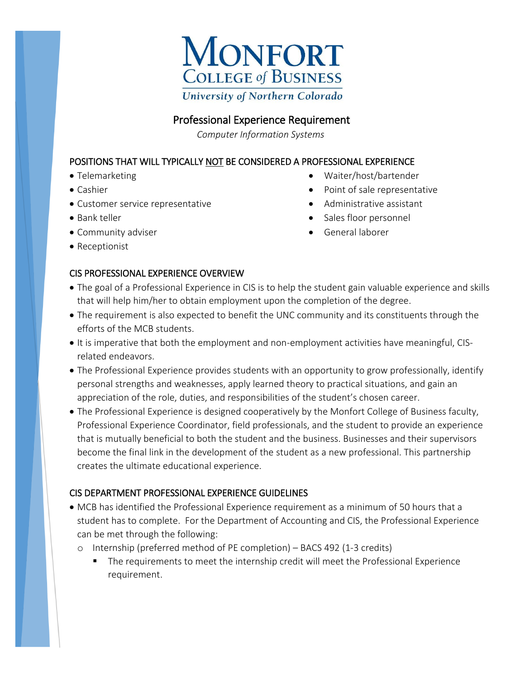

## Professional Experience Requirement

 *Computer Information Systems*

### POSITIONS THAT WILL TYPICALLY NOT BE CONSIDERED A PROFESSIONAL EXPERIENCE

- Telemarketing
- Cashier
- Customer service representative
- Bank teller
- Community adviser
- Receptionist

### CIS PROFESSIONAL EXPERIENCE OVERVIEW

- Waiter/host/bartender
- Point of sale representative
- Administrative assistant
- Sales floor personnel
- General laborer
- The goal of a Professional Experience in CIS is to help the student gain valuable experience and skills that will help him/her to obtain employment upon the completion of the degree.
- The requirement is also expected to benefit the UNC community and its constituents through the efforts of the MCB students.
- It is imperative that both the employment and non-employment activities have meaningful, CISrelated endeavors.
- The Professional Experience provides students with an opportunity to grow professionally, identify personal strengths and weaknesses, apply learned theory to practical situations, and gain an appreciation of the role, duties, and responsibilities of the student's chosen career.
- The Professional Experience is designed cooperatively by the Monfort College of Business faculty, Professional Experience Coordinator, field professionals, and the student to provide an experience that is mutually beneficial to both the student and the business. Businesses and their supervisors become the final link in the development of the student as a new professional. This partnership creates the ultimate educational experience.

### CIS DEPARTMENT PROFESSIONAL EXPERIENCE GUIDELINES

- MCB has identified the Professional Experience requirement as a minimum of 50 hours that a student has to complete. For the Department of Accounting and CIS, the Professional Experience can be met through the following:
	- o Internship (preferred method of PE completion) BACS 492 (1-3 credits)
		- **The requirements to meet the internship credit will meet the Professional Experience** requirement.